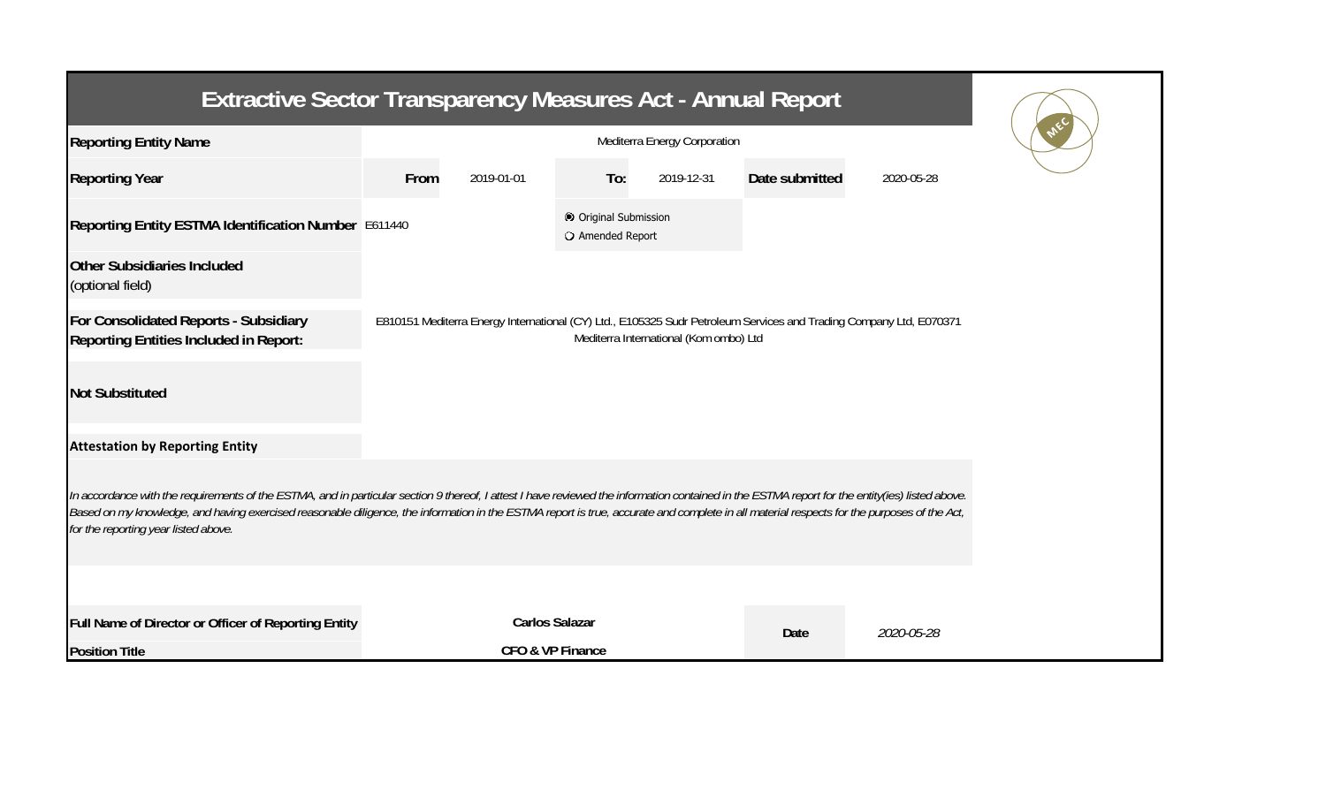| Extractive Sector Transparency Measures Act - Annual Report                                                                                                                                                                                                                                                                                                                                                                           |      |                       |                                           |                                        |                                                                                                                    |            |  |  |  |
|---------------------------------------------------------------------------------------------------------------------------------------------------------------------------------------------------------------------------------------------------------------------------------------------------------------------------------------------------------------------------------------------------------------------------------------|------|-----------------------|-------------------------------------------|----------------------------------------|--------------------------------------------------------------------------------------------------------------------|------------|--|--|--|
| <b>Reporting Entity Name</b>                                                                                                                                                                                                                                                                                                                                                                                                          |      |                       |                                           |                                        |                                                                                                                    |            |  |  |  |
| <b>Reporting Year</b>                                                                                                                                                                                                                                                                                                                                                                                                                 | From | 2019-01-01            | To:                                       | 2019-12-31                             | Date submitted                                                                                                     | 2020-05-28 |  |  |  |
| Reporting Entity ESTMA Identification Number E611440                                                                                                                                                                                                                                                                                                                                                                                  |      |                       | © Original Submission<br>O Amended Report |                                        |                                                                                                                    |            |  |  |  |
| <b>Other Subsidiaries Included</b><br>(optional field)                                                                                                                                                                                                                                                                                                                                                                                |      |                       |                                           |                                        |                                                                                                                    |            |  |  |  |
| For Consolidated Reports - Subsidiary<br><b>Reporting Entities Included in Report:</b>                                                                                                                                                                                                                                                                                                                                                |      |                       |                                           | Mediterra International (Kom ombo) Ltd | E810151 Mediterra Energy International (CY) Ltd., E105325 Sudr Petroleum Services and Trading Company Ltd, E070371 |            |  |  |  |
| <b>Not Substituted</b>                                                                                                                                                                                                                                                                                                                                                                                                                |      |                       |                                           |                                        |                                                                                                                    |            |  |  |  |
| <b>Attestation by Reporting Entity</b>                                                                                                                                                                                                                                                                                                                                                                                                |      |                       |                                           |                                        |                                                                                                                    |            |  |  |  |
| In accordance with the requirements of the ESTMA, and in particular section 9 thereof, I attest I have reviewed the information contained in the ESTMA report for the entity(ies) listed above.<br>Based on my knowledge, and having exercised reasonable diligence, the information in the ESTMA report is true, accurate and complete in all material respects for the purposes of the Act,<br>for the reporting year listed above. |      |                       |                                           |                                        |                                                                                                                    |            |  |  |  |
|                                                                                                                                                                                                                                                                                                                                                                                                                                       |      |                       |                                           |                                        |                                                                                                                    |            |  |  |  |
| Full Name of Director or Officer of Reporting Entity                                                                                                                                                                                                                                                                                                                                                                                  |      | <b>Carlos Salazar</b> |                                           |                                        | Date                                                                                                               | 2020-05-28 |  |  |  |
| <b>Position Title</b>                                                                                                                                                                                                                                                                                                                                                                                                                 |      | CFO & VP Finance      |                                           |                                        |                                                                                                                    |            |  |  |  |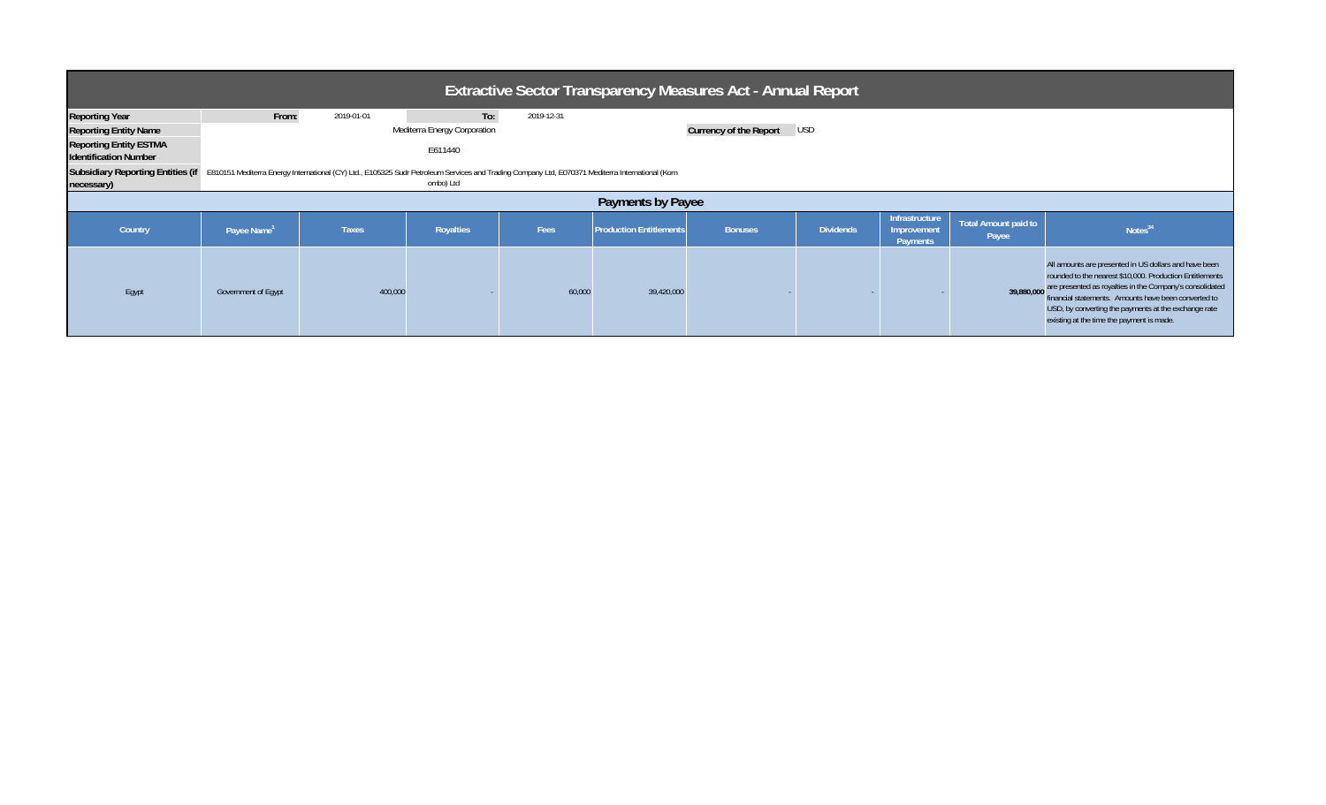| <b>Extractive Sector Transparency Measures Act - Annual Report</b>                                                                                                                                           |                         |              |                                                |            |                                                     |                               |                  |                               |                      |                                                                                                                                                                                                                                                                                                                                                       |
|--------------------------------------------------------------------------------------------------------------------------------------------------------------------------------------------------------------|-------------------------|--------------|------------------------------------------------|------------|-----------------------------------------------------|-------------------------------|------------------|-------------------------------|----------------------|-------------------------------------------------------------------------------------------------------------------------------------------------------------------------------------------------------------------------------------------------------------------------------------------------------------------------------------------------------|
| <b>Reporting Year</b><br><b>Reporting Entity Name</b><br><b>Reporting Entity ESTMA</b><br><b>Identification Number</b>                                                                                       | From:                   | 2019-01-01   | To:<br>Mediterra Energy Corporation<br>E611440 | 2019-12-31 |                                                     | <b>Currency of the Report</b> | <b>USD</b>       |                               |                      |                                                                                                                                                                                                                                                                                                                                                       |
| Subsidiary Reporting Entities (if E810151 Mediterra Energy International (CY) Ltd., E105325 Sudr Petroleum Services and Trading Company Ltd, E070371 Mediterra International (Kom<br>ombo) Ltd<br>necessary) |                         |              |                                                |            |                                                     |                               |                  |                               |                      |                                                                                                                                                                                                                                                                                                                                                       |
| Country                                                                                                                                                                                                      | Payee Name <sup>1</sup> | <b>Taxes</b> | Royalties                                      | Fees       | Payments by Payee<br><b>Production Entitlements</b> | <b>Bonuses</b>                | <b>Dividends</b> | Infrastructure<br>Improvement | Total Amount paid to | Notes <sup>34</sup>                                                                                                                                                                                                                                                                                                                                   |
|                                                                                                                                                                                                              |                         |              |                                                |            |                                                     |                               |                  | Payments                      | Payee                |                                                                                                                                                                                                                                                                                                                                                       |
| Egypt                                                                                                                                                                                                        | Government of Egypt     | 400,000      |                                                | 60,000     | 39,420,000                                          |                               |                  |                               |                      | All amounts are presented in US dollars and have been<br>rounded to the nearest \$10,000. Production Entitlements<br>39,880,000 are presented as royalties in the Company's consolidated<br>financial statements. Amounts have been converted to<br>USD, by converting the payments at the exchange rate<br>existing at the time the payment is made. |